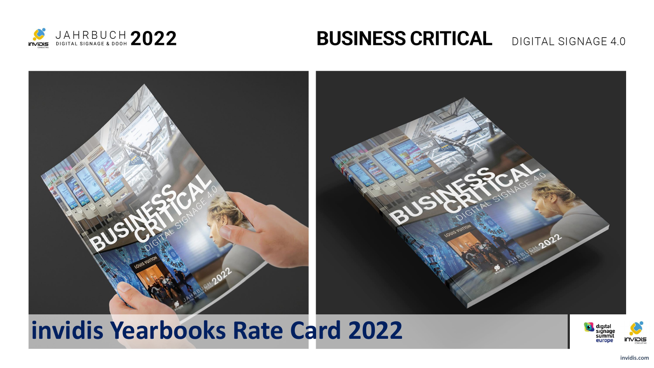

### **BUSINESS CRITICAL** DIGITAL SIGNAGE 4.0



### **invidis Yearbooks Rate Card 2022**

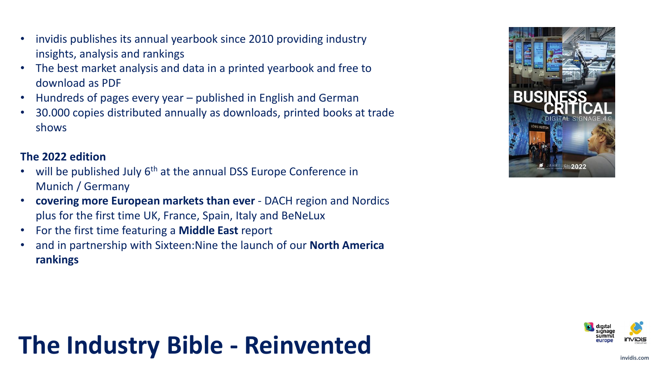- invidis publishes its annual yearbook since 2010 providing industry insights, analysis and rankings
- The best market analysis and data in a printed yearbook and free to download as PDF
- Hundreds of pages every year published in English and German
- 30.000 copies distributed annually as downloads, printed books at trade shows

#### **The 2022 edition**

- will be published July  $6<sup>th</sup>$  at the annual DSS Europe Conference in Munich / Germany
- **covering more European markets than ever**  DACH region and Nordics plus for the first time UK, France, Spain, Italy and BeNeLux
- For the first time featuring a **Middle East** report
- and in partnership with Sixteen:Nine the launch of our **North America rankings**



# **The Industry Bible - Reinvented**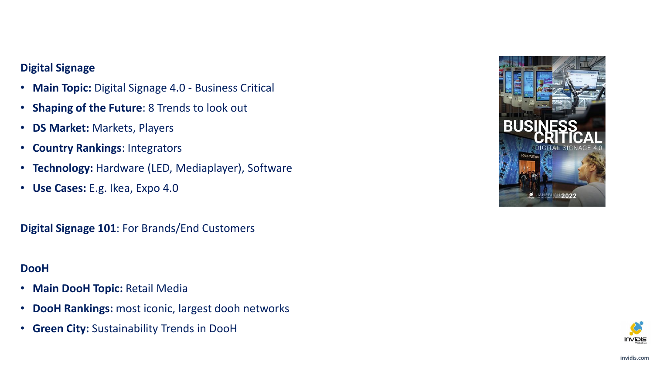#### **Digital Signage**

- **Main Topic:** Digital Signage 4.0 Business Critical
- **Shaping of the Future**: 8 Trends to look out
- **DS Market:** Markets, Players
- **Country Rankings**: Integrators
- **Technology:** Hardware (LED, Mediaplayer), Software
- **Use Cases:** E.g. Ikea, Expo 4.0

**Digital Signage 101**: For Brands/End Customers

#### **DooH**

- **Main DooH Topic:** Retail Media
- **DooH Rankings:** most iconic, largest dooh networks
- **Green City:** Sustainability Trends in DooH



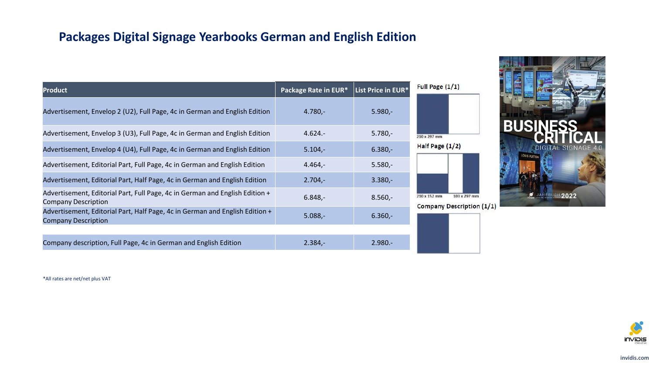#### **Packages Digital Signage Yearbooks German and English Edition**

| <b>Product</b>                                                                                             | Package Rate in EUR* | List Price in EUR* | Full Page $(1/1)$                                        |
|------------------------------------------------------------------------------------------------------------|----------------------|--------------------|----------------------------------------------------------|
| Advertisement, Envelop 2 (U2), Full Page, 4c in German and English Edition                                 | $4.780 -$            | $5.980 -$          |                                                          |
| Advertisement, Envelop 3 (U3), Full Page, 4c in German and English Edition                                 | $4.624 -$            | $5.780 -$          | 210 x 297 mm                                             |
| Advertisement, Envelop 4 (U4), Full Page, 4c in German and English Edition                                 | $5.104 -$            | $6.380 -$          | Half Page $(1/2)$                                        |
| Advertisement, Editorial Part, Full Page, 4c in German and English Edition                                 | $4.464 -$            | $5.580 -$          |                                                          |
| Advertisement, Editorial Part, Half Page, 4c in German and English Edition                                 | $2.704 -$            | $3.380 -$          |                                                          |
| Advertisement, Editorial Part, Full Page, 4c in German and English Edition +<br><b>Company Description</b> | $6.848 -$            | $8.560 -$          | 210 x 152 mm<br>103 x 297 m<br><b>Company Descriptio</b> |
| Advertisement, Editorial Part, Half Page, 4c in German and English Edition +<br><b>Company Description</b> | $5.088,-$            | $6.360 -$          |                                                          |
|                                                                                                            |                      |                    |                                                          |
| Company description, Full Page, 4c in German and English Edition                                           | $2.384 -$            | $2.980 -$          |                                                          |



\*All rates are net/net plus VAT

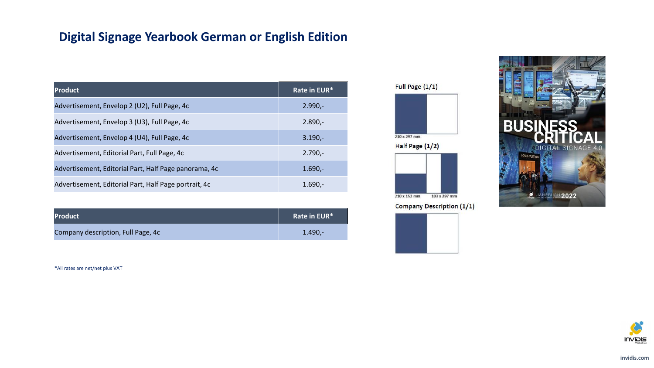### **Digital Signage Yearbook German or English Edition**

| <b>Product</b>                                        | Rate in EUR* |
|-------------------------------------------------------|--------------|
| Advertisement, Envelop 2 (U2), Full Page, 4c          | $2.990 -$    |
| Advertisement, Envelop 3 (U3), Full Page, 4c          | $2.890 -$    |
| Advertisement, Envelop 4 (U4), Full Page, 4c          | $3.190 -$    |
| Advertisement, Editorial Part, Full Page, 4c          | $2.790 -$    |
| Advertisement, Editorial Part, Half Page panorama, 4c | $1.690 -$    |
| Advertisement, Editorial Part, Half Page portrait, 4c | $1.690 -$    |

| <b>Product</b>                     | Rate in EUR* |
|------------------------------------|--------------|
| Company description, Full Page, 4c | $1.490 -$    |

\*All rates are net/net plus VAT

Full Page (1/1)







**Company Description (1/1)**